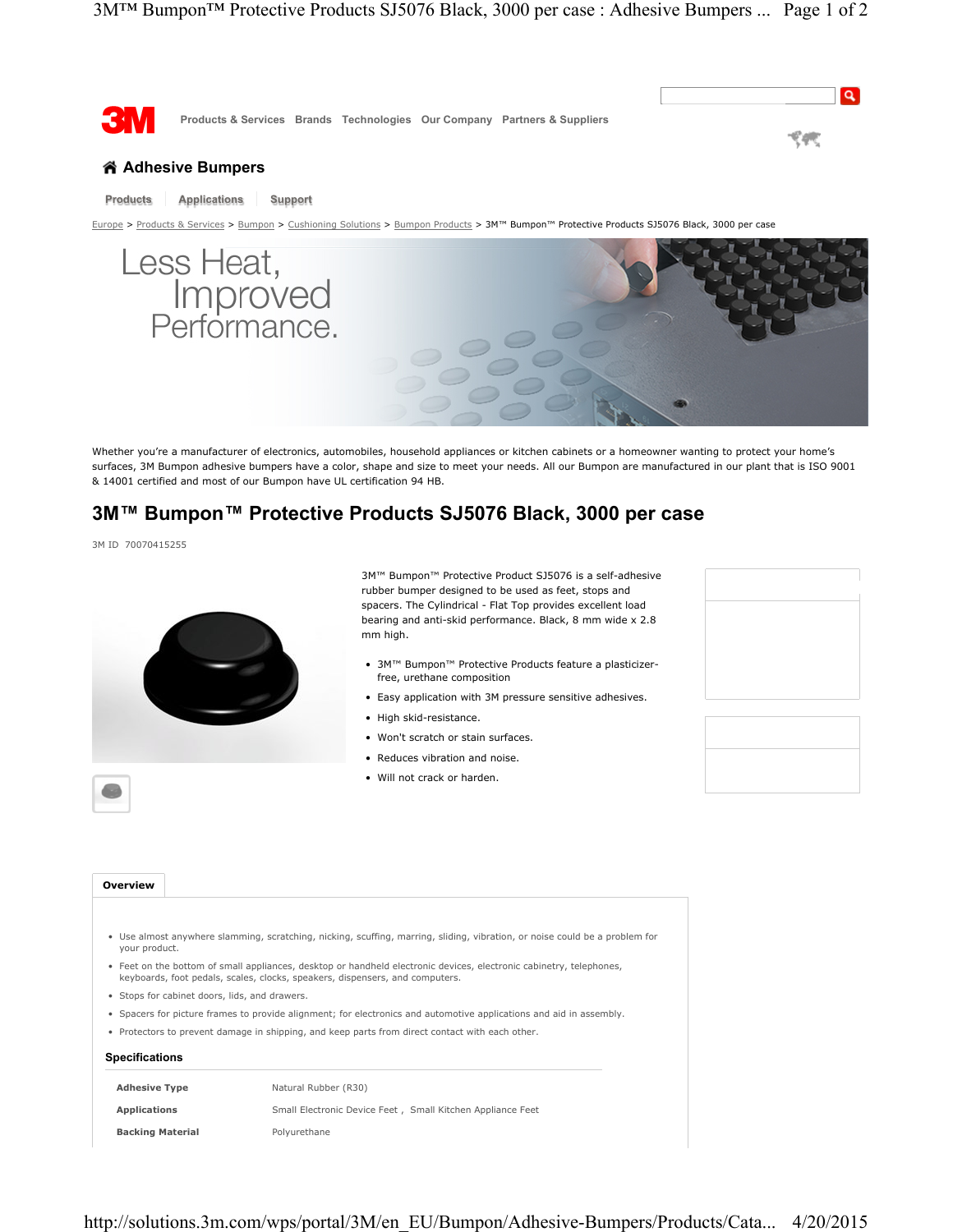

## **Products Applications Support**

Europe > Products & Services > Bumpon > Cushioning Solutions > Bumpon Products > 3M™ Bumpon™ Protective Products SJ5076 Black, 3000 per case



Whether you're a manufacturer of electronics, automobiles, household appliances or kitchen cabinets or a homeowner wanting to protect your home's surfaces, 3M Bumpon adhesive bumpers have a color, shape and size to meet your needs. All our Bumpon are manufactured in our plant that is ISO 9001 & 14001 certified and most of our Bumpon have UL certification 94 HB.

# **3M™ Bumpon™ Protective Products SJ5076 Black, 3000 per case**

3M ID 70070415255



3M™ Bumpon™ Protective Product SJ5076 is a self-adhesive rubber bumper designed to be used as feet, stops and spacers. The Cylindrical - Flat Top provides excellent load bearing and anti-skid performance. Black, 8 mm wide x 2.8 mm high.

- 3M™ Bumpon™ Protective Products feature a plasticizerfree, urethane composition
- Easy application with 3M pressure sensitive adhesives.
- High skid-resistance.
- Won't scratch or stain surfaces.
- Reduces vibration and noise.
- Will not crack or harden.





### **Overview**

- Use almost anywhere slamming, scratching, nicking, scuffing, marring, sliding, vibration, or noise could be a problem for your product.
- Feet on the bottom of small appliances, desktop or handheld electronic devices, electronic cabinetry, telephones, keyboards, foot pedals, scales, clocks, speakers, dispensers, and computers.
- Stops for cabinet doors, lids, and drawers.
- Spacers for picture frames to provide alignment; for electronics and automotive applications and aid in assembly.
- Protectors to prevent damage in shipping, and keep parts from direct contact with each other.

### **Specifications**

| <b>Adhesive Type</b>    | Natural Rubber (R30)                                        |
|-------------------------|-------------------------------------------------------------|
| <b>Applications</b>     | Small Electronic Device Feet , Small Kitchen Appliance Feet |
| <b>Backing Material</b> | Polvurethane                                                |